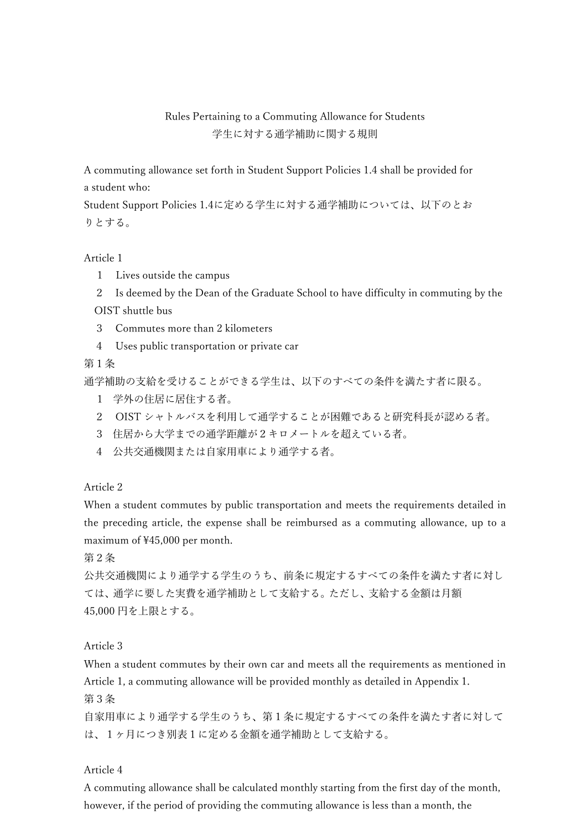Rules Pertaining to a Commuting Allowance for Students 学⽣に対する通学補助に関する規則

A commuting allowance set forth in Student Support Policies 1.4 shall be provided for a student who:

Student Support Policies 1.4に定める学⽣に対する通学補助については、以下のとお りとする。

Article 1

- 1 Lives outside the campus
- 2 Is deemed by the Dean of the Graduate School to have difficulty in commuting by the

OIST shuttle bus

- 3 Commutes more than 2 kilometers
- 4 Uses public transportation or private car

第1条

通学補助の⽀給を受けることができる学⽣は、以下のすべての条件を満たす者に限る。

- 1 学外の住居に居住する者。
- 2 OIST シャトルバスを利用して通学することが困難であると研究科長が認める者。
- 3 住居から⼤学までの通学距離が2キロメートルを超えている者。
- 4 公共交通機関または自家用車により通学する者。

Article 2

When a student commutes by public transportation and meets the requirements detailed in the preceding article, the expense shall be reimbursed as a commuting allowance, up to a maximum of ¥45,000 per month.

第2条

公共交通機関により通学する学⽣のうち、前条に規定するすべての条件を満たす者に対し ては、通学に要した実費を通学補助として支給する。ただし、支給する金額は月額 45,000 円を上限とする。

Article 3

When a student commutes by their own car and meets all the requirements as mentioned in Article 1, a commuting allowance will be provided monthly as detailed in Appendix 1. 第3条

自家用車により通学する学生のうち、第1条に規定するすべての条件を満たす者に対して は、1ヶ月につき別表1に定める金額を通学補助として支給する。

Article 4

A commuting allowance shall be calculated monthly starting from the first day of the month, however, if the period of providing the commuting allowance is less than a month, the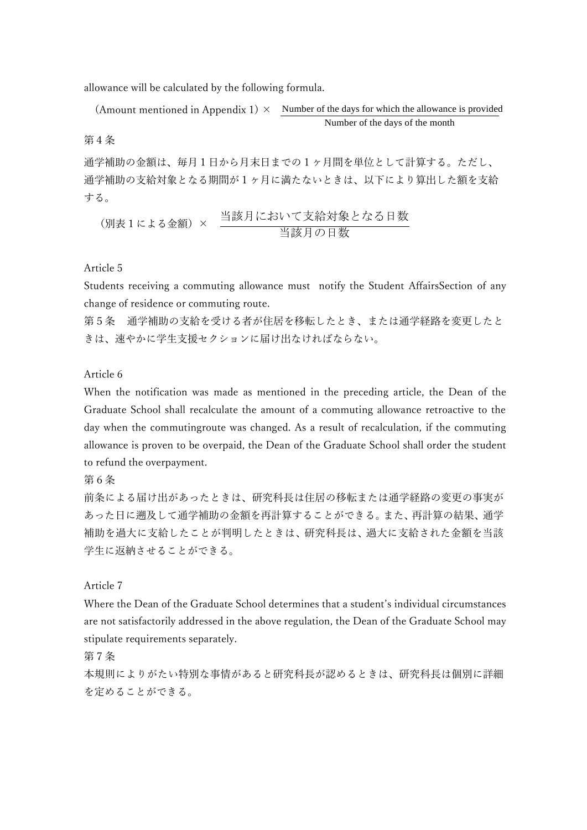allowance will be calculated by the following formula.

(Amount mentioned in Appendix 1)  $\times$  Number of the days for which the allowance is provided Number of the days of the month

第4条

通学補助の金額は、毎月1日から月末日までの1ヶ月間を単位として計算する。ただし、 通学補助の支給対象となる期間が1ヶ月に満たないときは、以下により算出した額を支給 する。

 (別表1による⾦額)× 当該月において支給対象となる日数 当該月の日数

## Article 5

Students receiving a commuting allowance must notify the Student AffairsSection of any change of residence or commuting route.

第5条 通学補助の⽀給を受ける者が住居を移転したとき、または通学経路を変更したと きは、速やかに学⽣⽀援セクションに届け出なければならない。

Article 6

When the notification was made as mentioned in the preceding article, the Dean of the Graduate School shall recalculate the amount of a commuting allowance retroactive to the day when the commutingroute was changed. As a result of recalculation, if the commuting allowance is proven to be overpaid, the Dean of the Graduate School shall order the student to refund the overpayment.

第6条

前条による届け出があったときは、研究科⻑は住居の移転または通学経路の変更の事実が あった日に遡及して通学補助の金額を再計算することができる。また、再計算の結果、通学 補助を過大に支給したことが判明したときは、研究科長は、過大に支給された金額を当該 学生に返納させることができる。

Article 7

Where the Dean of the Graduate School determines that a student's individual circumstances are not satisfactorily addressed in the above regulation, the Dean of the Graduate School may stipulate requirements separately.

第7条

本規則によりがたい特別な事情があると研究科長が認めるときは、研究科長は個別に詳細 を定めることができる。